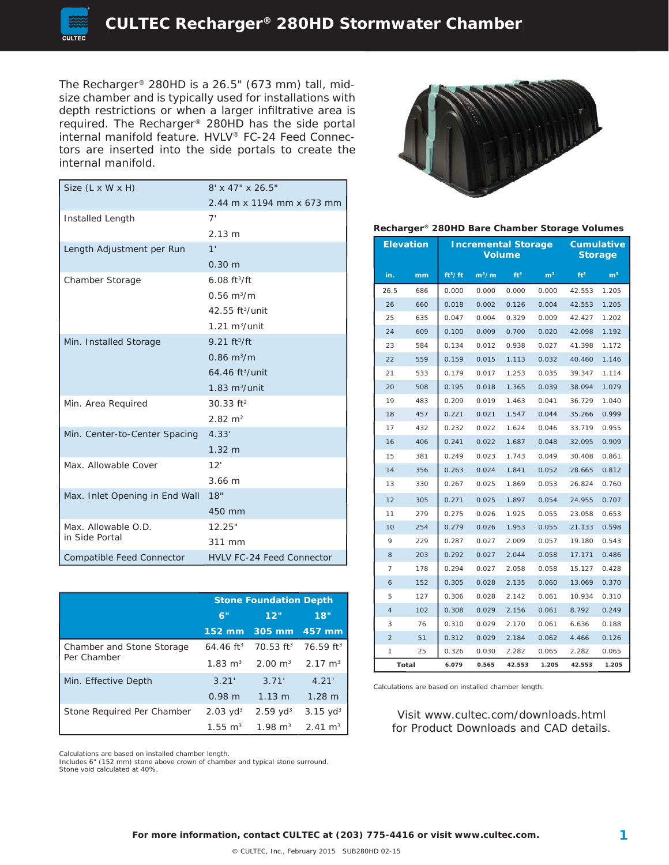

The Recharger® 280HD is a 26.5" (673 mm) tall, midsize chamber and is typically used for installations with depth restrictions or when a larger infiltrative area is required. The Recharger® 280HD has the side portal internal manifold feature. HVLV® FC-24 Feed Connectors are inserted into the side portals to create the internal manifold.

| Size (L x W x H)                 | $8' \times 47'' \times 26.5''$    |
|----------------------------------|-----------------------------------|
|                                  | 2.44 m x 1194 mm x 673 mm         |
| Installed Length                 | 7'                                |
|                                  | 2.13 m                            |
| Length Adjustment per Run        | 1'                                |
|                                  | $0.30 \; m$                       |
| Chamber Storage                  | $6.08 \text{ ft}^{3}/\text{ft}$   |
|                                  | $0.56 \; \mathrm{m}^3/\mathrm{m}$ |
|                                  | 42.55 ft <sup>3</sup> /unit       |
|                                  | $1.21 \text{ m}^3/\text{unit}$    |
| Min. Installed Storage           | $9.21 ft^{3}/ft$                  |
|                                  | $0.86 \; \mathrm{m}^3/\mathrm{m}$ |
|                                  | $64.46$ ft <sup>3</sup> /unit     |
|                                  | $1.83 \text{ m}^3/\text{unit}$    |
| Min. Area Required               | $30.33$ ft <sup>2</sup>           |
|                                  | $2.82 \text{ m}^2$                |
| Min. Center-to-Center Spacing    | 4.33'                             |
|                                  | 1.32 <sub>m</sub>                 |
| Max. Allowable Cover             | 12'                               |
|                                  | 3.66 m                            |
| Max. Inlet Opening in End Wall   | 18"                               |
|                                  | 450 mm                            |
| Max. Allowable O.D.              | 12.25"                            |
| in Side Portal                   | 311 mm                            |
| <b>Compatible Feed Connector</b> | <b>HVLV FC-24 Feed Connector</b>  |

|                            | <b>Stone Foundation Depth</b> |                                                                   |                     |  |
|----------------------------|-------------------------------|-------------------------------------------------------------------|---------------------|--|
|                            | 6"                            | 12"                                                               | 18"                 |  |
|                            |                               | 152 mm 305 mm                                                     | 457 mm              |  |
| Chamber and Stone Storage  |                               | 64.46 ft <sup>3</sup> 70.53 ft <sup>3</sup> 76.59 ft <sup>3</sup> |                     |  |
| Per Chamber                |                               | $1.83 \text{ m}^3$ $2.00 \text{ m}^3$ $2.17 \text{ m}^3$          |                     |  |
| Min. Effective Depth       | 3.21'                         | 3.71'                                                             | 4.21'               |  |
|                            | 0.98 m                        | $1.13 \text{ m}$                                                  | $1.28 \text{ m}$    |  |
| Stone Required Per Chamber | $2.03 \text{ yd}^3$           | $2.59$ yd <sup>3</sup>                                            | $3.15 \text{ yd}^3$ |  |
|                            | $1.55 \text{ m}^3$            | $1.98 \text{ m}^3$                                                | $2.41 \text{ m}^3$  |  |



#### **Recharger® 280HD Bare Chamber Storage Volumes**

|      | <b>Elevation</b> | <b>Incremental Storage</b><br><b>Volume</b> |         |                 | <b>Cumulative</b><br><b>Storage</b> |                 |                |
|------|------------------|---------------------------------------------|---------|-----------------|-------------------------------------|-----------------|----------------|
| in.  | mm               | ft <sup>3</sup> /ft                         | $m^3/m$ | ft <sup>3</sup> | m <sup>3</sup>                      | ft <sup>3</sup> | m <sup>3</sup> |
| 26.5 | 686              | 0.000                                       | 0.000   | 0.000           | 0.000                               | 42.553          | 1.205          |
| 26   | 660              | 0.018                                       | 0.002   | 0.126           | 0.004                               | 42.553          | 1.205          |
| 25   | 635              | 0.047                                       | 0.004   | 0.329           | 0.009                               | 42.427          | 1.202          |
| 24   | 609              | 0.100                                       | 0.009   | 0.700           | 0.020                               | 42.098          | 1.192          |
| 23   | 584              | 0.134                                       | 0.012   | 0.938           | 0.027                               | 41.398          | 1.172          |
| 22   | 559              | 0.159                                       | 0.015   | 1.113           | 0.032                               | 40.460          | 1.146          |
| 21   | 533              | 0.179                                       | 0.017   | 1.253           | 0.035                               | 39.347          | 1.114          |
| 20   | 508              | 0.195                                       | 0.018   | 1.365           | 0.039                               | 38.094          | 1.079          |
| 19   | 483              | 0.209                                       | 0.019   | 1.463           | 0.041                               | 36.729          | 1.040          |
| 18   | 457              | 0.221                                       | 0.021   | 1.547           | 0.044                               | 35.266          | 0.999          |
| 17   | 432              | 0.232                                       | 0.022   | 1.624           | 0.046                               | 33.719          | 0.955          |
| 16   | 406              | 0.241                                       | 0.022   | 1.687           | 0.048                               | 32.095          | 0.909          |
| 15   | 381              | 0.249                                       | 0.023   | 1.743           | 0.049                               | 30.408          | 0.861          |
| 14   | 356              | 0.263                                       | 0.024   | 1.841           | 0.052                               | 28.665          | 0.812          |
| 13   | 330              | 0.267                                       | 0.025   | 1.869           | 0.053                               | 26.824          | 0.760          |
| 12   | 305              | 0.271                                       | 0.025   | 1.897           | 0.054                               | 24.955          | 0.707          |
| 11   | 279              | 0.275                                       | 0.026   | 1.925           | 0.055                               | 23.058          | 0.653          |
| 10   | 254              | 0.279                                       | 0.026   | 1.953           | 0.055                               | 21.133          | 0.598          |
| 9    | 229              | 0.287                                       | 0.027   | 2.009           | 0.057                               | 19.180          | 0.543          |
| 8    | 203              | 0.292                                       | 0.027   | 2.044           | 0.058                               | 17.171          | 0.486          |
| 7    | 178              | 0.294                                       | 0.027   | 2.058           | 0.058                               | 15.127          | 0.428          |
| 6    | 152              | 0.305                                       | 0.028   | 2.135           | 0.060                               | 13.069          | 0.370          |
| 5    | 127              | 0.306                                       | 0.028   | 2.142           | 0.061                               | 10.934          | 0.310          |
| 4    | 102              | 0.308                                       | 0.029   | 2.156           | 0.061                               | 8.792           | 0.249          |
| 3    | 76               | 0.310                                       | 0.029   | 2.170           | 0.061                               | 6.636           | 0.188          |
| 2    | 51               | 0.312                                       | 0.029   | 2.184           | 0.062                               | 4.466           | 0.126          |
| 1    | 25               | 0.326                                       | 0.030   | 2.282           | 0.065                               | 2.282           | 0.065          |
|      | Total            | 6.079                                       | 0.565   | 42.553          | 1.205                               | 42.553          | 1.205          |

Calculations are based on installed chamber length.

Visit www.cultec.com/downloads.html for Product Downloads and CAD details.

Calculations are based on installed chamber length.

Includes 6" (152 mm) stone above crown of chamber and typical stone surround. Stone void calculated at 40%.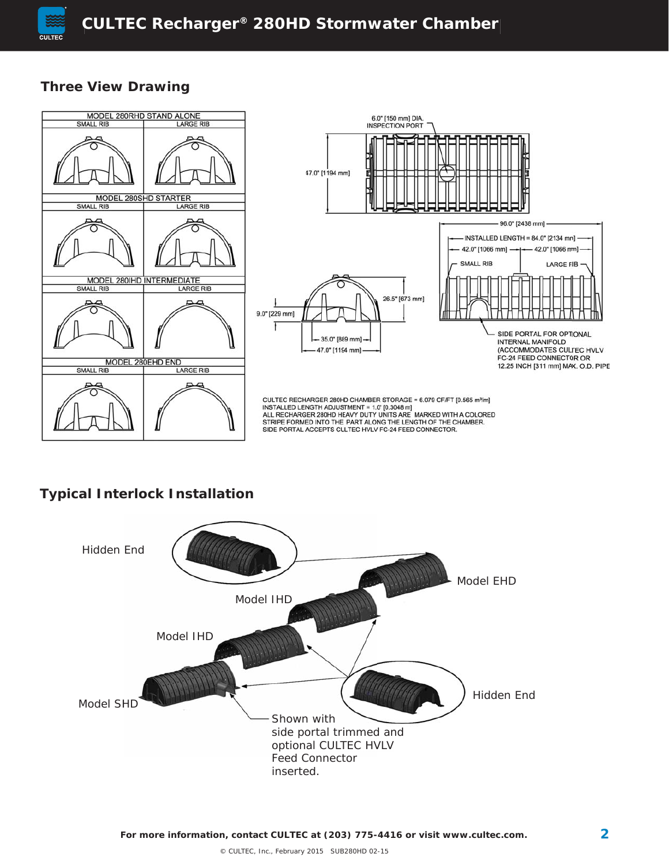

#### **Three View Drawing**



## **Typical Interlock Installation**

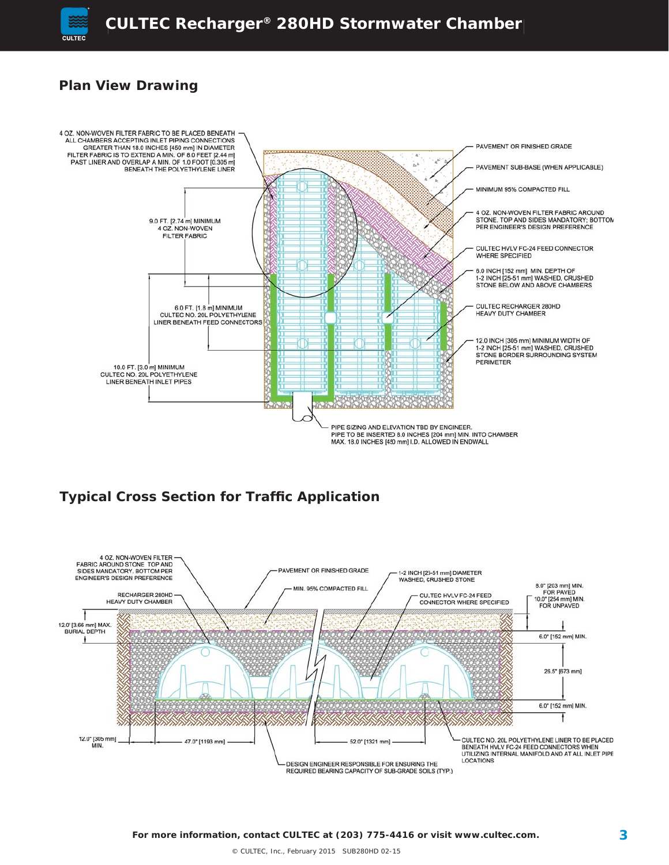

## **Plan View Drawing**



## **Typical Cross Section for Traffic Application**